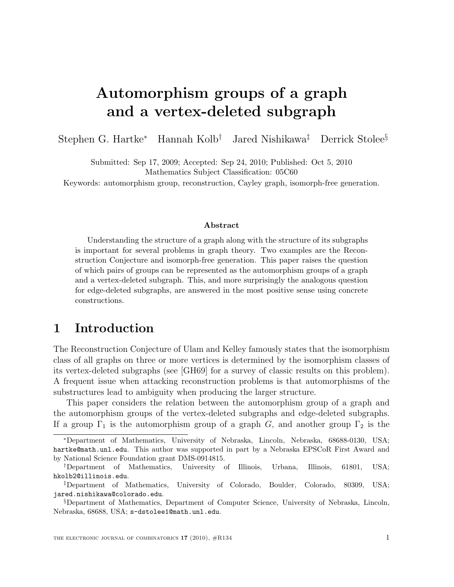# Automorphism groups of a graph and a vertex-deleted subgraph

Stephen G. Hartke<sup>∗</sup> Hannah Kolb† Jared Nishikawa‡ Derrick Stolee§

Submitted: Sep 17, 2009; Accepted: Sep 24, 2010; Published: Oct 5, 2010 Mathematics Subject Classification: 05C60

Keywords: automorphism group, reconstruction, Cayley graph, isomorph-free generation.

#### Abstract

Understanding the structure of a graph along with the structure of its subgraphs is important for several problems in graph theory. Two examples are the Reconstruction Conjecture and isomorph-free generation. This paper raises the question of which pairs of groups can be represented as the automorphism groups of a graph and a vertex-deleted subgraph. This, and more surprisingly the analogous question for edge-deleted subgraphs, are answered in the most positive sense using concrete constructions.

### 1 Introduction

The Reconstruction Conjecture of Ulam and Kelley famously states that the isomorphism class of all graphs on three or more vertices is determined by the isomorphism classes of its vertex-deleted subgraphs (see [GH69] for a survey of classic results on this problem). A frequent issue when attacking reconstruction problems is that automorphisms of the substructures lead to ambiguity when producing the larger structure.

This paper considers the relation between the automorphism group of a graph and the automorphism groups of the vertex-deleted subgraphs and edge-deleted subgraphs. If a group  $\Gamma_1$  is the automorphism group of a graph G, and another group  $\Gamma_2$  is the

<sup>∗</sup>Department of Mathematics, University of Nebraska, Lincoln, Nebraska, 68688-0130, USA; hartke@math.unl.edu. This author was supported in part by a Nebraska EPSCoR First Award and by National Science Foundation grant DMS-0914815.

<sup>†</sup>Department of Mathematics, University of Illinois, Urbana, Illinois, 61801, USA; hkolb2@illinois.edu.

<sup>‡</sup>Department of Mathematics, University of Colorado, Boulder, Colorado, 80309, USA; jared.nishikawa@colorado.edu.

<sup>§</sup>Department of Mathematics, Department of Computer Science, University of Nebraska, Lincoln, Nebraska, 68688, USA; s-dstolee1@math.unl.edu.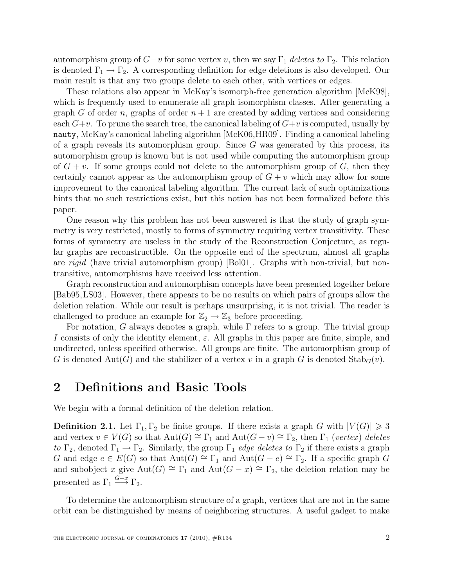automorphism group of  $G-v$  for some vertex v, then we say  $\Gamma_1$  deletes to  $\Gamma_2$ . This relation is denoted  $\Gamma_1 \rightarrow \Gamma_2$ . A corresponding definition for edge deletions is also developed. Our main result is that any two groups delete to each other, with vertices or edges.

These relations also appear in McKay's isomorph-free generation algorithm [McK98], which is frequently used to enumerate all graph isomorphism classes. After generating a graph G of order n, graphs of order  $n + 1$  are created by adding vertices and considering each  $G+v$ . To prune the search tree, the canonical labeling of  $G+v$  is computed, usually by nauty, McKay's canonical labeling algorithm [McK06,HR09]. Finding a canonical labeling of a graph reveals its automorphism group. Since  $G$  was generated by this process, its automorphism group is known but is not used while computing the automorphism group of  $G + v$ . If some groups could not delete to the automorphism group of G, then they certainly cannot appear as the automorphism group of  $G + v$  which may allow for some improvement to the canonical labeling algorithm. The current lack of such optimizations hints that no such restrictions exist, but this notion has not been formalized before this paper.

One reason why this problem has not been answered is that the study of graph symmetry is very restricted, mostly to forms of symmetry requiring vertex transitivity. These forms of symmetry are useless in the study of the Reconstruction Conjecture, as regular graphs are reconstructible. On the opposite end of the spectrum, almost all graphs are rigid (have trivial automorphism group) [Bol01]. Graphs with non-trivial, but nontransitive, automorphisms have received less attention.

Graph reconstruction and automorphism concepts have been presented together before [Bab95,LS03]. However, there appears to be no results on which pairs of groups allow the deletion relation. While our result is perhaps unsurprising, it is not trivial. The reader is challenged to produce an example for  $\mathbb{Z}_2 \to \mathbb{Z}_3$  before proceeding.

For notation, G always denotes a graph, while  $\Gamma$  refers to a group. The trivial group I consists of only the identity element,  $\varepsilon$ . All graphs in this paper are finite, simple, and undirected, unless specified otherwise. All groups are finite. The automorphism group of G is denoted  $Aut(G)$  and the stabilizer of a vertex v in a graph G is denoted  $Stab_G(v)$ .

### 2 Definitions and Basic Tools

We begin with a formal definition of the deletion relation.

**Definition 2.1.** Let  $\Gamma_1, \Gamma_2$  be finite groups. If there exists a graph G with  $|V(G)| \geq 3$ and vertex  $v \in V(G)$  so that  $Aut(G) \cong \Gamma_1$  and  $Aut(G - v) \cong \Gamma_2$ , then  $\Gamma_1$  (vertex) deletes to  $\Gamma_2$ , denoted  $\Gamma_1 \to \Gamma_2$ . Similarly, the group  $\Gamma_1$  *edge deletes to*  $\Gamma_2$  if there exists a graph G and edge  $e \in E(G)$  so that  $Aut(G) \cong \Gamma_1$  and  $Aut(G - e) \cong \Gamma_2$ . If a specific graph G and subobject x give Aut(G)  $\cong \Gamma_1$  and Aut(G – x)  $\cong \Gamma_2$ , the deletion relation may be presented as  $\Gamma_1 \stackrel{G-x}{\longrightarrow} \Gamma_2$ .

To determine the automorphism structure of a graph, vertices that are not in the same orbit can be distinguished by means of neighboring structures. A useful gadget to make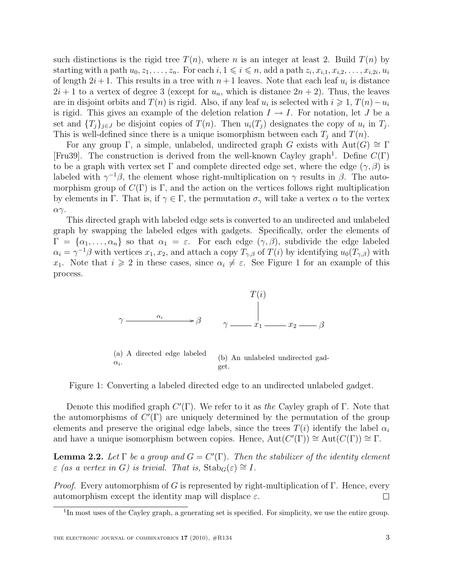such distinctions is the rigid tree  $T(n)$ , where n is an integer at least 2. Build  $T(n)$  by starting with a path  $u_0, z_1, \ldots, z_n$ . For each  $i, 1 \leq i \leq n$ , add a path  $z_i, x_{i,1}, x_{i,2}, \ldots, x_{i,2i}, u_i$ of length  $2i + 1$ . This results in a tree with  $n + 1$  leaves. Note that each leaf  $u_i$  is distance  $2i + 1$  to a vertex of degree 3 (except for  $u_n$ , which is distance  $2n + 2$ ). Thus, the leaves are in disjoint orbits and  $T(n)$  is rigid. Also, if any leaf  $u_i$  is selected with  $i \geq 1$ ,  $T(n) - u_i$ is rigid. This gives an example of the deletion relation  $I \rightarrow I$ . For notation, let J be a set and  $\{T_j\}_{j\in J}$  be disjoint copies of  $T(n)$ . Then  $u_i(T_j)$  designates the copy of  $u_i$  in  $T_j$ . This is well-defined since there is a unique isomorphism between each  $T_i$  and  $T(n)$ .

For any group Γ, a simple, unlabeled, undirected graph G exists with  $Aut(G) \cong \Gamma$ [Fru39]. The construction is derived from the well-known Cayley graph<sup>1</sup>. Define  $C(\Gamma)$ to be a graph with vertex set  $\Gamma$  and complete directed edge set, where the edge  $(\gamma, \beta)$  is labeled with  $\gamma^{-1}\beta$ , the element whose right-multiplication on  $\gamma$  results in  $\beta$ . The automorphism group of  $C(\Gamma)$  is  $\Gamma$ , and the action on the vertices follows right multiplication by elements in Γ. That is, if  $\gamma \in \Gamma$ , the permutation  $\sigma_{\gamma}$  will take a vertex  $\alpha$  to the vertex αγ.

This directed graph with labeled edge sets is converted to an undirected and unlabeled graph by swapping the labeled edges with gadgets. Specifically, order the elements of  $\Gamma = {\alpha_1, \ldots, \alpha_n}$  so that  $\alpha_1 = \varepsilon$ . For each edge  $(\gamma, \beta)$ , subdivide the edge labeled  $\alpha_i = \gamma^{-1}\beta$  with vertices  $x_1, x_2$ , and attach a copy  $T_{\gamma,\beta}$  of  $T(i)$  by identifying  $u_0(T_{\gamma,\beta})$  with x<sub>1</sub>. Note that  $i \geqslant 2$  in these cases, since  $\alpha_i \neq \varepsilon$ . See Figure 1 for an example of this process.



Figure 1: Converting a labeled directed edge to an undirected unlabeled gadget.

Denote this modified graph  $C'(\Gamma)$ . We refer to it as the Cayley graph of  $\Gamma$ . Note that the automorphisms of  $C'(\Gamma)$  are uniquely determined by the permutation of the group elements and preserve the original edge labels, since the trees  $T(i)$  identify the label  $\alpha_i$ and have a unique isomorphism between copies. Hence,  $Aut(C(\Gamma)) \cong Aut(C(\Gamma)) \cong \Gamma$ .

**Lemma 2.2.** Let  $\Gamma$  be a group and  $G = C'(\Gamma)$ . Then the stabilizer of the identity element  $\varepsilon$  (as a vertex in G) is trivial. That is,  $\text{Stab}_G(\varepsilon) \cong I$ .

*Proof.* Every automorphism of G is represented by right-multiplication of  $\Gamma$ . Hence, every automorphism except the identity map will displace  $\varepsilon$ .  $\Box$ 

<sup>&</sup>lt;sup>1</sup>In most uses of the Cayley graph, a generating set is specified. For simplicity, we use the entire group.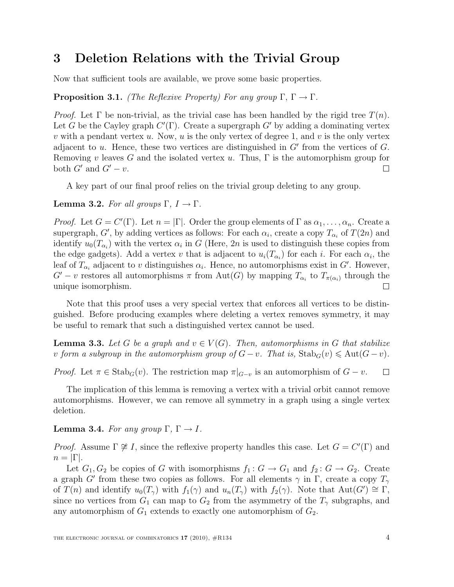### 3 Deletion Relations with the Trivial Group

Now that sufficient tools are available, we prove some basic properties.

#### **Proposition 3.1.** (The Reflexive Property) For any group  $\Gamma, \Gamma \to \Gamma$ .

*Proof.* Let  $\Gamma$  be non-trivial, as the trivial case has been handled by the rigid tree  $T(n)$ . Let G be the Cayley graph  $C'(\Gamma)$ . Create a supergraph G' by adding a dominating vertex v with a pendant vertex u. Now, u is the only vertex of degree 1, and v is the only vertex adjacent to  $u$ . Hence, these two vertices are distinguished in  $G'$  from the vertices of  $G$ . Removing v leaves G and the isolated vertex u. Thus,  $\Gamma$  is the automorphism group for both  $G'$  and  $G'-v$ .  $\Box$ 

A key part of our final proof relies on the trivial group deleting to any group.

#### **Lemma 3.2.** For all groups  $\Gamma$ ,  $I \to \Gamma$ .

*Proof.* Let  $G = C'(\Gamma)$ . Let  $n = |\Gamma|$ . Order the group elements of  $\Gamma$  as  $\alpha_1, \ldots, \alpha_n$ . Create a supergraph, G', by adding vertices as follows: For each  $\alpha_i$ , create a copy  $T_{\alpha_i}$  of  $T(2n)$  and identify  $u_0(T_{\alpha_i})$  with the vertex  $\alpha_i$  in G (Here, 2n is used to distinguish these copies from the edge gadgets). Add a vertex v that is adjacent to  $u_i(T_{\alpha_i})$  for each i. For each  $\alpha_i$ , the leaf of  $T_{\alpha_i}$  adjacent to v distinguishes  $\alpha_i$ . Hence, no automorphisms exist in G'. However,  $G'-v$  restores all automorphisms  $\pi$  from  $\text{Aut}(G)$  by mapping  $T_{\alpha_i}$  to  $T_{\pi(\alpha_i)}$  through the unique isomorphism.  $\Box$ 

Note that this proof uses a very special vertex that enforces all vertices to be distinguished. Before producing examples where deleting a vertex removes symmetry, it may be useful to remark that such a distinguished vertex cannot be used.

**Lemma 3.3.** Let G be a graph and  $v \in V(G)$ . Then, automorphisms in G that stabilize v form a subgroup in the automorphism group of  $G - v$ . That is,  $\text{Stab}_G(v) \leq \text{Aut}(G - v)$ .

*Proof.* Let  $\pi \in \text{Stab}_G(v)$ . The restriction map  $\pi|_{G-v}$  is an automorphism of  $G-v$ .  $\Box$ 

The implication of this lemma is removing a vertex with a trivial orbit cannot remove automorphisms. However, we can remove all symmetry in a graph using a single vertex deletion.

#### **Lemma 3.4.** For any group  $\Gamma$ ,  $\Gamma \rightarrow I$ .

*Proof.* Assume  $\Gamma \not\cong I$ , since the reflexive property handles this case. Let  $G = C'(\Gamma)$  and  $n = |\Gamma|$ .

Let  $G_1, G_2$  be copies of G with isomorphisms  $f_1 : G \to G_1$  and  $f_2 : G \to G_2$ . Create a graph G' from these two copies as follows. For all elements  $\gamma$  in  $\Gamma$ , create a copy  $T_{\gamma}$ of  $T(n)$  and identify  $u_0(T_\gamma)$  with  $f_1(\gamma)$  and  $u_n(T_\gamma)$  with  $f_2(\gamma)$ . Note that  $Aut(G') \cong \Gamma$ , since no vertices from  $G_1$  can map to  $G_2$  from the asymmetry of the  $T_\gamma$  subgraphs, and any automorphism of  $G_1$  extends to exactly one automorphism of  $G_2$ .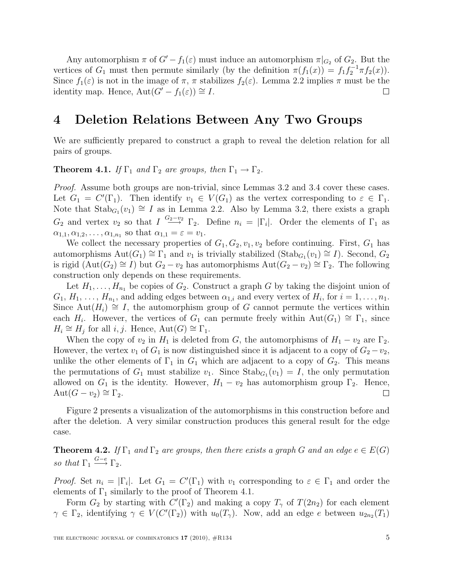Any automorphism  $\pi$  of  $G'-f_1(\varepsilon)$  must induce an automorphism  $\pi|_{G_2}$  of  $G_2$ . But the vertices of  $G_1$  must then permute similarly (by the definition  $\pi(f_1(x)) = f_1 f_2^{-1} \pi f_2(x)$ ). Since  $f_1(\varepsilon)$  is not in the image of  $\pi$ ,  $\pi$  stabilizes  $f_2(\varepsilon)$ . Lemma 2.2 implies  $\pi$  must be the identity map. Hence,  $Aut(G' - f_1(\varepsilon)) \cong I$ .  $\Box$ 

### 4 Deletion Relations Between Any Two Groups

We are sufficiently prepared to construct a graph to reveal the deletion relation for all pairs of groups.

**Theorem 4.1.** If  $\Gamma_1$  and  $\Gamma_2$  are groups, then  $\Gamma_1 \rightarrow \Gamma_2$ .

Proof. Assume both groups are non-trivial, since Lemmas 3.2 and 3.4 cover these cases. Let  $G_1 = C'(\Gamma_1)$ . Then identify  $v_1 \in V(G_1)$  as the vertex corresponding to  $\varepsilon \in \Gamma_1$ . Note that  $\text{Stab}_{G_1}(v_1) \cong I$  as in Lemma 2.2. Also by Lemma 3.2, there exists a graph  $G_2$  and vertex  $v_2$  so that  $I \stackrel{G_2-v_2}{\longrightarrow} \Gamma_2$ . Define  $n_i = |\Gamma_i|$ . Order the elements of  $\Gamma_1$  as  $\alpha_{1,1}, \alpha_{1,2}, \ldots, \alpha_{1,n_1}$  so that  $\alpha_{1,1} = \varepsilon = v_1$ .

We collect the necessary properties of  $G_1, G_2, v_1, v_2$  before continuing. First,  $G_1$  has automorphisms  $\text{Aut}(G_1) \cong \Gamma_1$  and  $v_1$  is trivially stabilized  $(\text{Stab}_{G_1}(v_1) \cong I)$ . Second,  $G_2$ is rigid  $(Aut(G_2) \cong I)$  but  $G_2 - v_2$  has automorphisms  $Aut(G_2 - v_2) \cong \Gamma_2$ . The following construction only depends on these requirements.

Let  $H_1, \ldots, H_{n_1}$  be copies of  $G_2$ . Construct a graph G by taking the disjoint union of  $G_1, H_1, \ldots, H_{n_1}$ , and adding edges between  $\alpha_{1,i}$  and every vertex of  $H_i$ , for  $i = 1, \ldots, n_1$ . Since Aut $(H_i) \cong I$ , the automorphism group of G cannot permute the vertices within each  $H_i$ . However, the vertices of  $G_1$  can permute freely within Aut( $G_1$ ) ≅  $\Gamma_1$ , since  $H_i \cong H_j$  for all  $i, j$ . Hence,  $Aut(G) \cong \Gamma_1$ .

When the copy of  $v_2$  in  $H_1$  is deleted from G, the automorphisms of  $H_1 - v_2$  are  $\Gamma_2$ . However, the vertex  $v_1$  of  $G_1$  is now distinguished since it is adjacent to a copy of  $G_2 - v_2$ , unlike the other elements of  $\Gamma_1$  in  $G_1$  which are adjacent to a copy of  $G_2$ . This means the permutations of  $G_1$  must stabilize  $v_1$ . Since  $\text{Stab}_{G_1}(v_1) = I$ , the only permutation allowed on  $G_1$  is the identity. However,  $H_1 - v_2$  has automorphism group  $\Gamma_2$ . Hence,  $\text{Aut}(G - v_2) \cong \Gamma_2$ .  $\Box$ 

Figure 2 presents a visualization of the automorphisms in this construction before and after the deletion. A very similar construction produces this general result for the edge case.

**Theorem 4.2.** If  $\Gamma_1$  and  $\Gamma_2$  are groups, then there exists a graph G and an edge  $e \in E(G)$ so that  $\Gamma_1 \stackrel{G-e}{\longrightarrow} \Gamma_2$ .

*Proof.* Set  $n_i = |\Gamma_i|$ . Let  $G_1 = C'(\Gamma_1)$  with  $v_1$  corresponding to  $\varepsilon \in \Gamma_1$  and order the elements of  $\Gamma_1$  similarly to the proof of Theorem 4.1.

Form  $G_2$  by starting with  $C'(\Gamma_2)$  and making a copy  $T_\gamma$  of  $T(2n_2)$  for each element  $\gamma \in \Gamma_2$ , identifying  $\gamma \in V(C(\Gamma_2))$  with  $u_0(T_\gamma)$ . Now, add an edge e between  $u_{2n_2}(T_1)$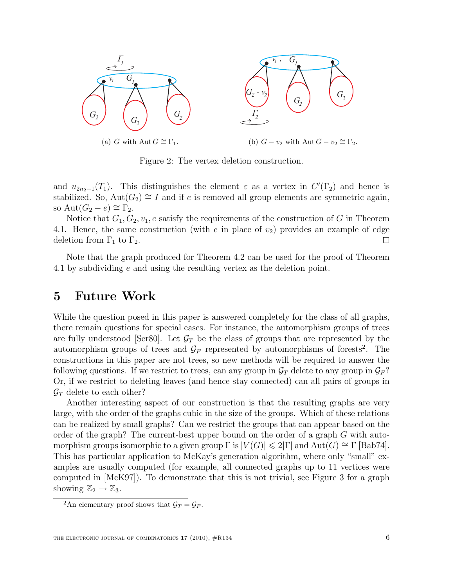

Figure 2: The vertex deletion construction.

and  $u_{2n_2-1}(T_1)$ . This distinguishes the element  $\varepsilon$  as a vertex in  $C'(\Gamma_2)$  and hence is stabilized. So,  $Aut(G_2) \cong I$  and if e is removed all group elements are symmetric again, so  $\text{Aut}(G_2 - e) \cong \Gamma_2$ .

Notice that  $G_1, G_2, v_1, e$  satisfy the requirements of the construction of G in Theorem 4.1. Hence, the same construction (with  $e$  in place of  $v_2$ ) provides an example of edge deletion from  $\Gamma_1$  to  $\Gamma_2$ .  $\Box$ 

Note that the graph produced for Theorem 4.2 can be used for the proof of Theorem 4.1 by subdividing e and using the resulting vertex as the deletion point.

### 5 Future Work

While the question posed in this paper is answered completely for the class of all graphs, there remain questions for special cases. For instance, the automorphism groups of trees are fully understood [Ser80]. Let  $\mathcal{G}_T$  be the class of groups that are represented by the automorphism groups of trees and  $\mathcal{G}_F$  represented by automorphisms of forests<sup>2</sup>. The constructions in this paper are not trees, so new methods will be required to answer the following questions. If we restrict to trees, can any group in  $\mathcal{G}_T$  delete to any group in  $\mathcal{G}_F$ ? Or, if we restrict to deleting leaves (and hence stay connected) can all pairs of groups in  $\mathcal{G}_T$  delete to each other?

Another interesting aspect of our construction is that the resulting graphs are very large, with the order of the graphs cubic in the size of the groups. Which of these relations can be realized by small graphs? Can we restrict the groups that can appear based on the order of the graph? The current-best upper bound on the order of a graph G with automorphism groups isomorphic to a given group  $\Gamma$  is  $|V(G)| \leq 2|\Gamma|$  and  $Aut(G) \cong \Gamma$  [Bab74]. This has particular application to McKay's generation algorithm, where only "small" examples are usually computed (for example, all connected graphs up to 11 vertices were computed in [McK97]). To demonstrate that this is not trivial, see Figure 3 for a graph showing  $\mathbb{Z}_2 \to \mathbb{Z}_3$ .

<sup>&</sup>lt;sup>2</sup>An elementary proof shows that  $\mathcal{G}_T = \mathcal{G}_F$ .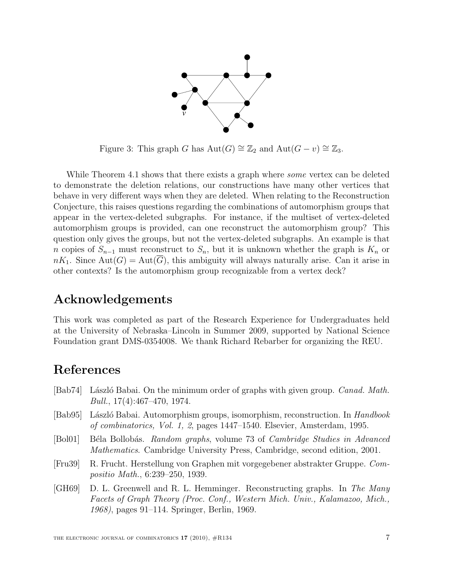

Figure 3: This graph G has  $Aut(G) \cong \mathbb{Z}_2$  and  $Aut(G - v) \cong \mathbb{Z}_3$ .

While Theorem 4.1 shows that there exists a graph where *some* vertex can be deleted to demonstrate the deletion relations, our constructions have many other vertices that behave in very different ways when they are deleted. When relating to the Reconstruction Conjecture, this raises questions regarding the combinations of automorphism groups that appear in the vertex-deleted subgraphs. For instance, if the multiset of vertex-deleted automorphism groups is provided, can one reconstruct the automorphism group? This question only gives the groups, but not the vertex-deleted subgraphs. An example is that n copies of  $S_{n-1}$  must reconstruct to  $S_n$ , but it is unknown whether the graph is  $K_n$  or  $nK_1$ . Since  $Aut(G) = Aut(\overline{G})$ , this ambiguity will always naturally arise. Can it arise in other contexts? Is the automorphism group recognizable from a vertex deck?

### Acknowledgements

This work was completed as part of the Research Experience for Undergraduates held at the University of Nebraska–Lincoln in Summer 2009, supported by National Science Foundation grant DMS-0354008. We thank Richard Rebarber for organizing the REU.

## References

- [Bab74] László Babai. On the minimum order of graphs with given group. *Canad. Math.* Bull., 17(4):467–470, 1974.
- [Bab95] László Babai. Automorphism groups, isomorphism, reconstruction. In Handbook of combinatorics, Vol. 1, 2, pages 1447–1540. Elsevier, Amsterdam, 1995.
- [Bol01] Béla Bollobás. Random graphs, volume 73 of Cambridge Studies in Advanced Mathematics. Cambridge University Press, Cambridge, second edition, 2001.
- [Fru39] R. Frucht. Herstellung von Graphen mit vorgegebener abstrakter Gruppe. Compositio Math., 6:239–250, 1939.
- [GH69] D. L. Greenwell and R. L. Hemminger. Reconstructing graphs. In The Many Facets of Graph Theory (Proc. Conf., Western Mich. Univ., Kalamazoo, Mich., 1968), pages 91–114. Springer, Berlin, 1969.